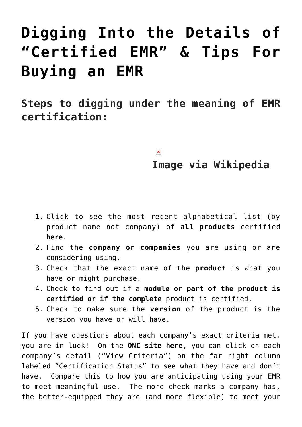## **[Digging Into the Details of](https://managemypractice.com/digging-into-the-details-of-certified-emr-tips-for-buying-an-emr/) ["Certified EMR" & Tips For](https://managemypractice.com/digging-into-the-details-of-certified-emr-tips-for-buying-an-emr/) [Buying an EMR](https://managemypractice.com/digging-into-the-details-of-certified-emr-tips-for-buying-an-emr/)**

**Steps to digging under the meaning of EMR certification:** 

## $\pmb{\times}$

## **Image via Wikipedia**

- 1. Click to see the most recent alphabetical list (by product name not company) of **all products** certified **[here](http://onc-chpl.force.com/ehrcert)**.
- 2. Find the **company or companies** you are using or are considering using.
- 3. Check that the exact name of the **product** is what you have or might purchase.
- 4. Check to find out if a **module or part of the product is certified or if the complete** product is certified.
- 5. Check to make sure the **version** of the product is the version you have or will have.

If you have questions about each company's exact criteria met, you are in luck! On the **[ONC site here](http://onc-chpl.force.com/ehrcert)**, you can click on each company's detail ("View Criteria") on the far right column labeled "Certification Status" to see what they have and don't have. Compare this to how you are anticipating using your EMR to meet meaningful use. The more check marks a company has, the better-equipped they are (and more flexible) to meet your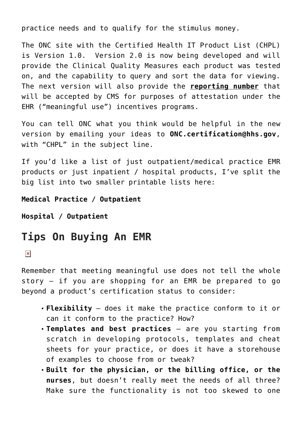practice needs and to qualify for the stimulus money.

The ONC site with the Certified Health IT Product List (CHPL) is Version 1.0. Version 2.0 is now being developed and will provide the Clinical Quality Measures each product was tested on, and the capability to query and sort the data for viewing. The next version will also provide the **reporting number** that will be accepted by CMS for purposes of attestation under the EHR ("meaningful use") incentives programs.

You can tell ONC what you think would be helpful in the new version by emailing your ideas to **[ONC.certification@hhs.gov](mailto:ONC.certification@hhs.gov)**, with "CHPL" in the subject line.

If you'd like a list of just outpatient/medical practice EMR products or just inpatient / hospital products, I've split the big list into two smaller printable lists here:

**[Medical Practice / Outpatient](https://managemypractice.com/wp-content/uploads/2010/11/Certified-Ambulatory-Outpatient-Products.xls)**

**[Hospital / Outpatient](https://managemypractice.com/wp-content/uploads/2010/11/Certified-Hospital-Inpatient-Products.xls)**

## **Tips On Buying An EMR**

 $\pmb{\times}$ 

Remember that meeting meaningful use does not tell the whole story – if you are shopping for an EMR be prepared to go beyond a product's certification status to consider:

- **Flexibility** does it make the practice conform to it or can it conform to the practice? How?
- **Templates and best practices** are you starting from scratch in developing protocols, templates and cheat sheets for your practice, or does it have a storehouse of examples to choose from or tweak?
- **Built for the physician, or the billing office, or the nurses**, but doesn't really meet the needs of all three? Make sure the functionality is not too skewed to one